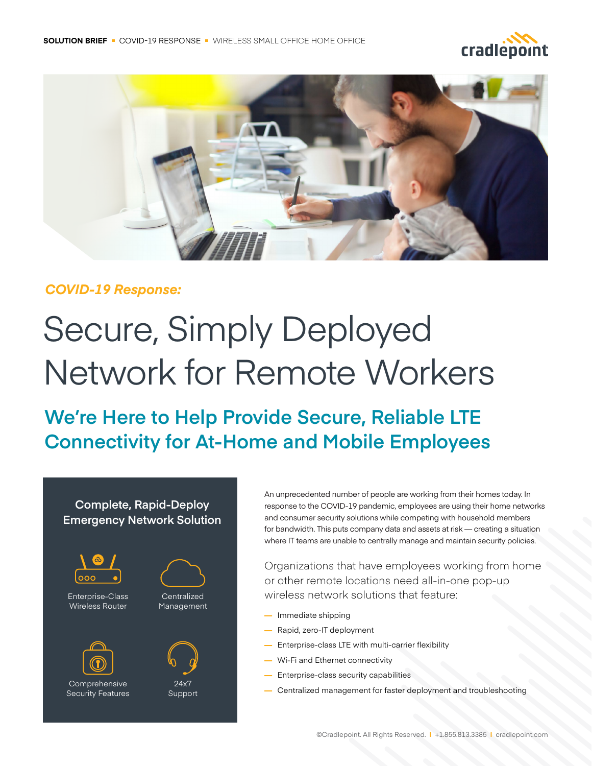



### *COVID-19 Response:*

# Secure, Simply Deployed Network for Remote Workers

## **We're Here to Help Provide Secure, Reliable LTE Connectivity for At-Home and Mobile Employees**

#### **Complete, Rapid-Deploy Emergency Network Solution**





Comprehensive Security Features



24x7

**Centralized** 

Support

An unprecedented number of people are working from their homes today. In response to the COVID-19 pandemic, employees are using their home networks and consumer security solutions while competing with household members for bandwidth. This puts company data and assets at risk — creating a situation where IT teams are unable to centrally manage and maintain security policies.

Organizations that have employees working from home or other remote locations need all-in-one pop-up wireless network solutions that feature:

- **—** Immediate shipping
- **—** Rapid, zero-IT deployment
- **—** Enterprise-class LTE with multi-carrier flexibility
- **—** Wi-Fi and Ethernet connectivity
- **—** Enterprise-class security capabilities
- **—** Centralized management for faster deployment and troubleshooting